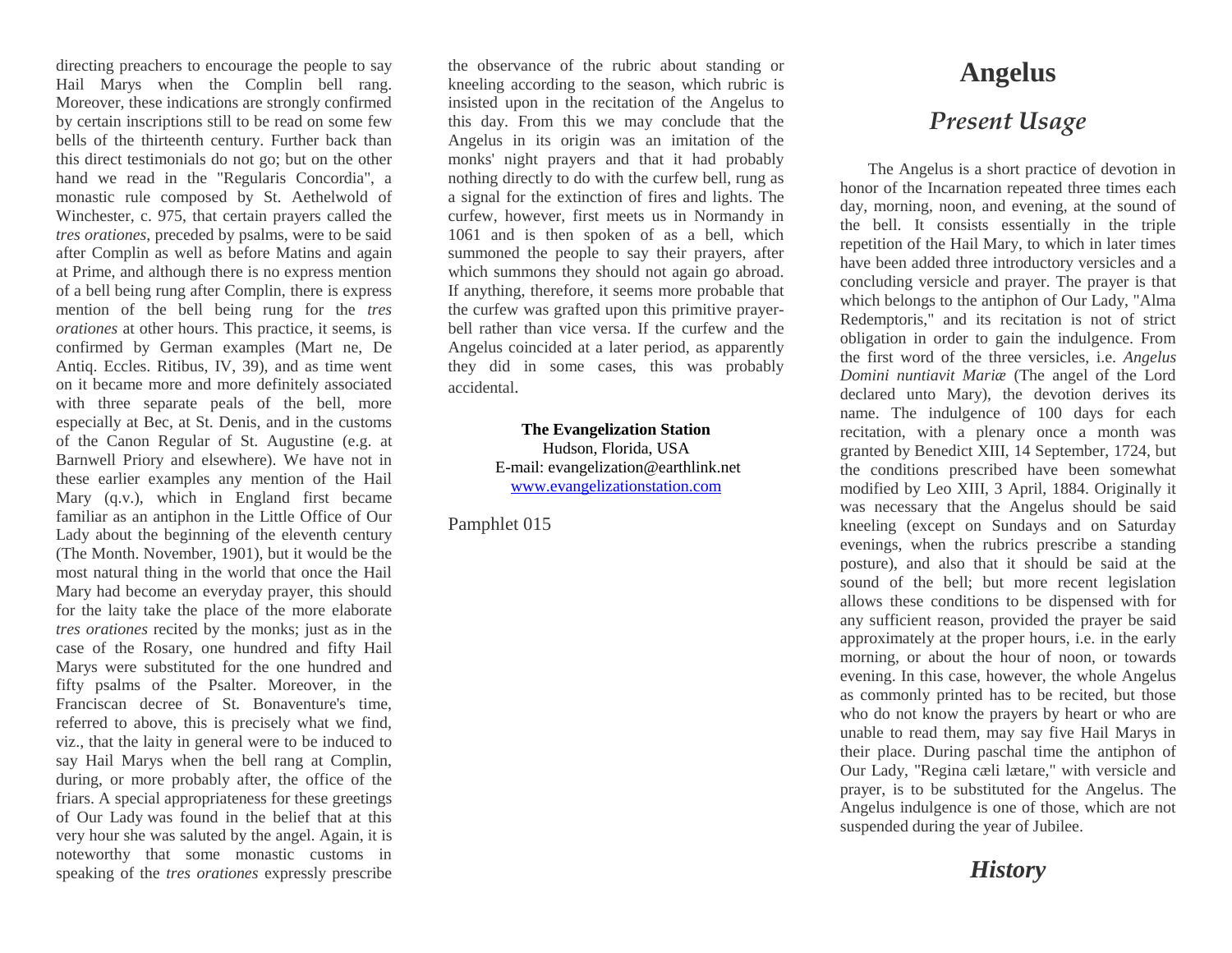directing preachers to encourage the people to say Hail Marys when the Complin bell rang. Moreover, these indications are strongly confirmed by certain inscriptions still to be read on some few bells of the thirteenth century. Further back than this direct testimonials do not go; but on the other hand we read in the "Regularis Concordia", a monastic rule composed by St. Aethelwold of Winchester, c. 975, that certain prayers called the *tres orationes*, preceded by psalms, were to be said after Complin as well as before Matins and again at Prime, and although there is no express mention of a bell being rung after Complin, there is express mention of the bell being rung for the *tres orationes* at other hours. This practice, it seems, is confirmed by German examples (Mart ne, De Antiq. Eccles. Ritibus, IV, 39), and as time went on it became more and more definitely associated with three separate peals of the bell, more especially at Bec, at St. Denis, and in the customs of the Canon Regular of St. Augustine (e.g. at Barnwell Priory and elsewhere). We have not in these earlier examples any mention of the Hail Mary (q.v.), which in England first became familiar as an antiphon in the Little Office of Our Lady about the beginning of the eleventh century (The Month. November, 1901), but it would be the most natural thing in the world that once the Hail Mary had become an everyday prayer, this should for the laity take the place of the more elaborate *tres orationes* recited by the monks; just as in the case of the Rosary, one hundred and fifty Hail Marys were substituted for the one hundred and fifty psalms of the Psalter. Moreover, in the Franciscan decree of St. Bonaventure's time, referred to above, this is precisely what we find, viz., that the laity in general were to be induced to say Hail Marys when the bell rang at Complin, during, or more probably after, the office of the friars. A special appropriateness for these greetings of Our Lady was found in the belief that at this very hour she was saluted by the angel. Again, it is noteworthy that some monastic customs in speaking of the *tres orationes* expressly prescribe

the observance of the rubric about standing or kneeling according to the season, which rubric is insisted upon in the recitation of the Angelus to this day. From this we may conclude that the Angelus in its origin was an imitation of the monks' night prayers and that it had probably nothing directly to do with the curfew bell, rung as a signal for the extinction of fires and lights. The curfew, however, first meets us in Normandy in 1061 and is then spoken of as a bell, which summoned the people to say their prayers, after which summons they should not again go abroad. If anything, therefore, it seems more probable that the curfew was grafted upon this primitive prayerbell rather than vice versa. If the curfew and the Angelus coincided at a later period, as apparently they did in some cases, this was probably accidental.

> **The Evangelization Station** Hudson, Florida, USA E-mail: evangelization@earthlink.net [www.evangelizationstation.com](http://www.pjpiisoe.org/)

Pamphlet 015

## **Angelus**

# *Present Usage*

The Angelus is a short practice of devotion in honor of the Incarnation repeated three times each day, morning, noon, and evening, at the sound of the bell. It consists essentially in the triple repetition of the Hail Mary, to which in later times have been added three introductory versicles and a concluding versicle and prayer. The prayer is that which belongs to the antiphon of Our Lady, "Alma Redemptoris," and its recitation is not of strict obligation in order to gain the indulgence. From the first word of the three versicles, i.e. *Angelus Domini nuntiavit Mariæ* (The angel of the Lord declared unto Mary), the devotion derives its name. The indulgence of 100 days for each recitation, with a plenary once a month was granted by Benedict XIII, 14 September, 1724, but the conditions prescribed have been somewhat modified by Leo XIII, 3 April, 1884. Originally it was necessary that the Angelus should be said kneeling (except on Sundays and on Saturday evenings, when the rubrics prescribe a standing posture), and also that it should be said at the sound of the bell; but more recent legislation allows these conditions to be dispensed with for any sufficient reason, provided the prayer be said approximately at the proper hours, i.e. in the early morning, or about the hour of noon, or towards evening. In this case, however, the whole Angelus as commonly printed has to be recited, but those who do not know the prayers by heart or who are unable to read them, may say five Hail Marys in their place. During paschal time the antiphon of Our Lady, "Regina cæli lætare," with versicle and prayer, is to be substituted for the Angelus. The Angelus indulgence is one of those, which are not suspended during the year of Jubilee.

*History*